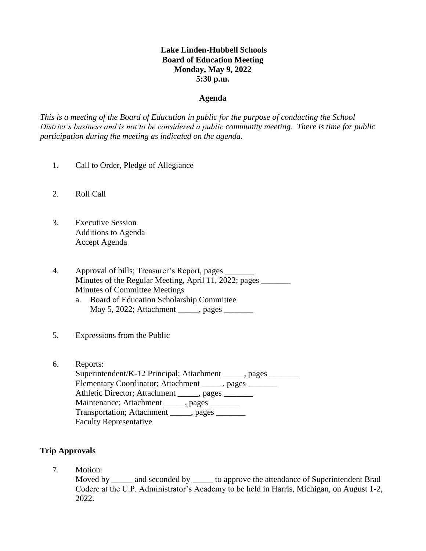# **Lake Linden-Hubbell Schools Board of Education Meeting Monday, May 9, 2022 5:30 p.m.**

#### **Agenda**

*This is a meeting of the Board of Education in public for the purpose of conducting the School District's business and is not to be considered a public community meeting. There is time for public participation during the meeting as indicated on the agenda.*

- 1. Call to Order, Pledge of Allegiance
- 2. Roll Call
- 3. Executive Session Additions to Agenda Accept Agenda
- 4. Approval of bills; Treasurer's Report, pages \_\_\_\_\_\_\_ Minutes of the Regular Meeting, April 11, 2022; pages Minutes of Committee Meetings
	- a. Board of Education Scholarship Committee May 5, 2022; Attachment \_\_\_\_\_, pages \_\_\_\_\_\_\_
- 5. Expressions from the Public
- 6. Reports: Superintendent/K-12 Principal; Attachment \_\_\_\_\_, pages \_\_\_\_\_\_\_ Elementary Coordinator; Attachment \_\_\_\_\_, pages \_\_\_\_\_\_\_ Athletic Director; Attachment \_\_\_\_\_, pages \_\_\_\_\_\_\_ Maintenance; Attachment \_\_\_\_\_, pages \_\_\_\_\_\_\_ Transportation; Attachment \_\_\_\_\_, pages \_\_\_\_\_\_ Faculty Representative

# **Trip Approvals**

7. Motion:

Moved by and seconded by to approve the attendance of Superintendent Brad Codere at the U.P. Administrator's Academy to be held in Harris, Michigan, on August 1-2, 2022.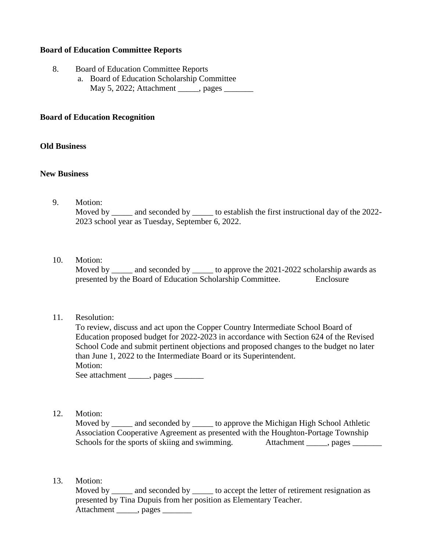## **Board of Education Committee Reports**

- 8. Board of Education Committee Reports
	- a. Board of Education Scholarship Committee May 5, 2022; Attachment \_\_\_\_\_, pages \_\_\_\_\_\_\_

#### **Board of Education Recognition**

#### **Old Business**

#### **New Business**

9. Motion: Moved by \_\_\_\_\_ and seconded by \_\_\_\_\_\_ to establish the first instructional day of the 2022-2023 school year as Tuesday, September 6, 2022.

#### 10. Motion:

Moved by \_\_\_\_\_ and seconded by \_\_\_\_\_ to approve the 2021-2022 scholarship awards as presented by the Board of Education Scholarship Committee. Enclosure

## 11. Resolution:

| To review, discuss and act upon the Copper Country Intermediate School Board of         |
|-----------------------------------------------------------------------------------------|
| Education proposed budget for 2022-2023 in accordance with Section 624 of the Revised   |
| School Code and submit pertinent objections and proposed changes to the budget no later |
| than June 1, 2022 to the Intermediate Board or its Superintendent.                      |
| Motion:                                                                                 |
| See attachment ______, pages _____                                                      |

12. Motion:

Moved by \_\_\_\_\_\_ and seconded by \_\_\_\_\_\_ to approve the Michigan High School Athletic Association Cooperative Agreement as presented with the Houghton-Portage Township Schools for the sports of skiing and swimming. Attachment \_\_\_\_\_, pages \_\_\_\_\_\_\_\_

13. Motion:

Moved by and seconded by to accept the letter of retirement resignation as presented by Tina Dupuis from her position as Elementary Teacher. Attachment \_\_\_\_\_, pages \_\_\_\_\_\_\_